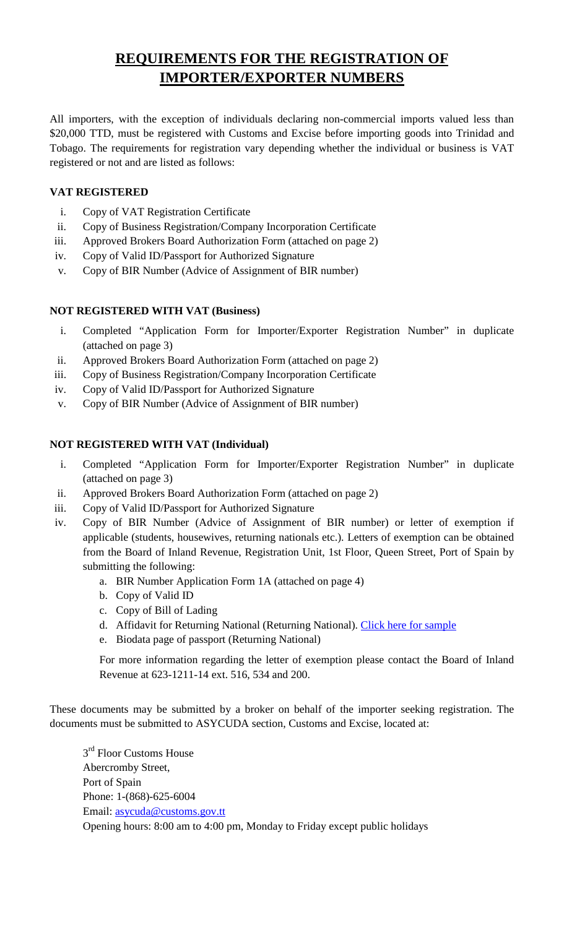# **REQUIREMENTS FOR THE REGISTRATION OF IMPORTER/EXPORTER NUMBERS**

All importers, with the exception of individuals declaring non-commercial imports valued less than \$20,000 TTD, must be registered with Customs and Excise before importing goods into Trinidad and Tobago. The requirements for registration vary depending whether the individual or business is VAT registered or not and are listed as follows:

### **VAT REGISTERED**

- i. Copy of VAT Registration Certificate
- ii. Copy of Business Registration/Company Incorporation Certificate
- iii. Approved Brokers Board Authorization Form (attached on page 2)
- iv. Copy of Valid ID/Passport for Authorized Signature
- v. Copy of BIR Number (Advice of Assignment of BIR number)

### **NOT REGISTERED WITH VAT (Business)**

- i. Completed "Application Form for Importer/Exporter Registration Number" in duplicate (attached on page 3)
- ii. Approved Brokers Board Authorization Form (attached on page 2)
- iii. Copy of Business Registration/Company Incorporation Certificate
- iv. Copy of Valid ID/Passport for Authorized Signature
- v. Copy of BIR Number (Advice of Assignment of BIR number)

### **NOT REGISTERED WITH VAT (Individual)**

- i. Completed "Application Form for Importer/Exporter Registration Number" in duplicate (attached on page 3)
- ii. Approved Brokers Board Authorization Form (attached on page 2)
- iii. Copy of Valid ID/Passport for Authorized Signature
- iv. Copy of BIR Number (Advice of Assignment of BIR number) or letter of exemption if applicable (students, housewives, returning nationals etc.). Letters of exemption can be obtained from the Board of Inland Revenue, Registration Unit, 1st Floor, Queen Street, Port of Spain by submitting the following:
	- a. BIR Number Application Form 1A (attached on page 4)
	- b. Copy of Valid ID
	- c. Copy of Bill of Lading
	- d. Affidavit for Returning National (Returning National). Click here for sample
	- e. Biodata page of passport (Returning National)

For more information regarding the letter of exemption please contact the Board of Inland Revenue at 623-1211-14 ext. 516, 534 and 200.

These documents may be submitted by a broker on behalf of the importer seeking registration. The documents must be submitted to ASYCUDA section, Customs and Excise, located at:

 $3<sup>rd</sup>$  Floor Customs House Abercromby Street, Port of Spain Phone: 1-(868)-625-6004 Email: asycuda@customs.gov.tt Opening hours: 8:00 am to 4:00 pm, Monday to Friday except public holidays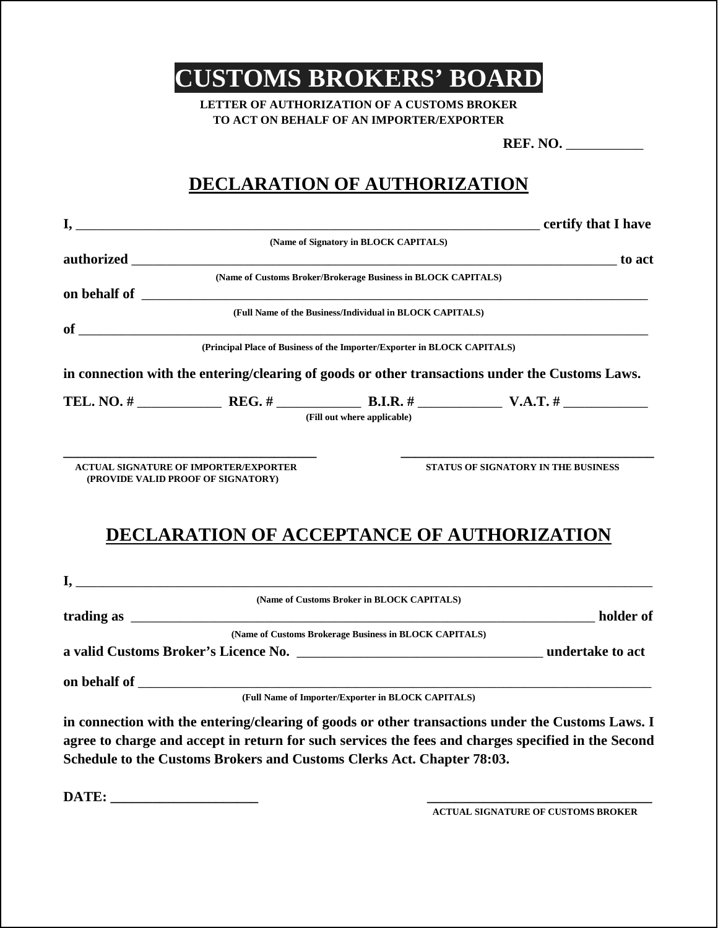**CUSTOMS BROKERS' BOARD** 

**LETTER OF AUTHORIZATION OF A CUSTOMS BROKER TO ACT ON BEHALF OF AN IMPORTER/EXPORTER**

**REF. NO.** \_\_\_\_\_\_\_\_\_\_\_

# **DECLARATION OF AUTHORIZATION**

|                                                                                         | (Name of Signatory in BLOCK CAPITALS)                         |                                                                                                 |
|-----------------------------------------------------------------------------------------|---------------------------------------------------------------|-------------------------------------------------------------------------------------------------|
|                                                                                         |                                                               |                                                                                                 |
|                                                                                         | (Name of Customs Broker/Brokerage Business in BLOCK CAPITALS) |                                                                                                 |
|                                                                                         |                                                               |                                                                                                 |
|                                                                                         | (Full Name of the Business/Individual in BLOCK CAPITALS)      |                                                                                                 |
|                                                                                         |                                                               | $\sigma$ of $\sigma$                                                                            |
| (Principal Place of Business of the Importer/Exporter in BLOCK CAPITALS)                |                                                               |                                                                                                 |
|                                                                                         |                                                               | in connection with the entering/clearing of goods or other transactions under the Customs Laws. |
|                                                                                         |                                                               |                                                                                                 |
|                                                                                         | (Fill out where applicable)                                   |                                                                                                 |
| (PROVIDE VALID PROOF OF SIGNATORY)<br><b>DECLARATION OF ACCEPTANCE OF AUTHORIZATION</b> |                                                               |                                                                                                 |
|                                                                                         |                                                               |                                                                                                 |
|                                                                                         | (Name of Customs Broker in BLOCK CAPITALS)                    |                                                                                                 |
|                                                                                         | (Name of Customs Brokerage Business in BLOCK CAPITALS)        |                                                                                                 |
|                                                                                         |                                                               |                                                                                                 |
|                                                                                         |                                                               |                                                                                                 |
|                                                                                         |                                                               |                                                                                                 |
|                                                                                         | (Full Name of Importer/Exporter in BLOCK CAPITALS)            |                                                                                                 |

**in connection with the entering/clearing of goods or other transactions under the Customs Laws. I agree to charge and accept in return for such services the fees and charges specified in the Second Schedule to the Customs Brokers and Customs Clerks Act. Chapter 78:03.** 

**DATE: \_\_\_\_\_\_\_\_\_\_\_\_\_\_\_\_\_\_\_\_\_ \_\_\_\_\_\_\_\_\_\_\_\_\_\_\_\_\_\_\_\_\_\_\_\_\_\_\_\_\_\_\_\_**

 **ACTUAL SIGNATURE OF CUSTOMS BROKER**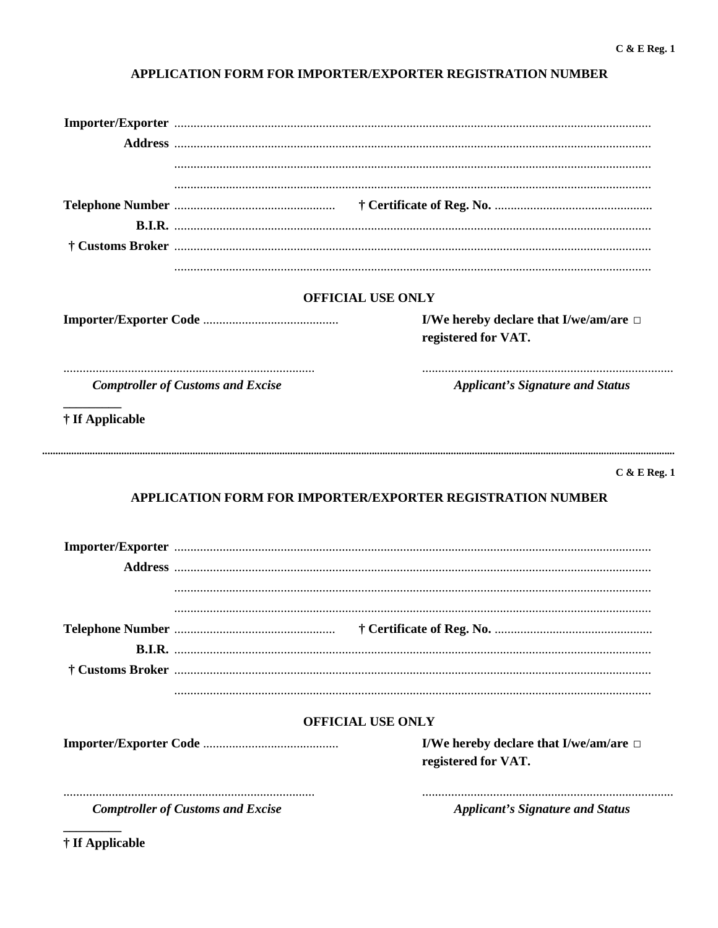### APPLICATION FORM FOR IMPORTER/EXPORTER REGISTRATION NUMBER

|                                          | <b>OFFICIAL USE ONLY</b>                                                             |  |  |
|------------------------------------------|--------------------------------------------------------------------------------------|--|--|
|                                          | I/We hereby declare that I/we/am/are $\Box$<br>registered for VAT.                   |  |  |
| <b>Comptroller of Customs and Excise</b> | <b>Applicant's Signature and Status</b>                                              |  |  |
| † If Applicable                          |                                                                                      |  |  |
|                                          |                                                                                      |  |  |
|                                          | <b>APPLICATION FORM FOR IMPORTER/EXPORTER REGISTRATION NUMBER</b>                    |  |  |
|                                          |                                                                                      |  |  |
|                                          |                                                                                      |  |  |
|                                          |                                                                                      |  |  |
|                                          | <b>OFFICIAL USE ONLY</b>                                                             |  |  |
|                                          | $C & E$ Reg. 1<br>I/We hereby declare that I/we/am/are $\Box$<br>registered for VAT. |  |  |

† If Applicable